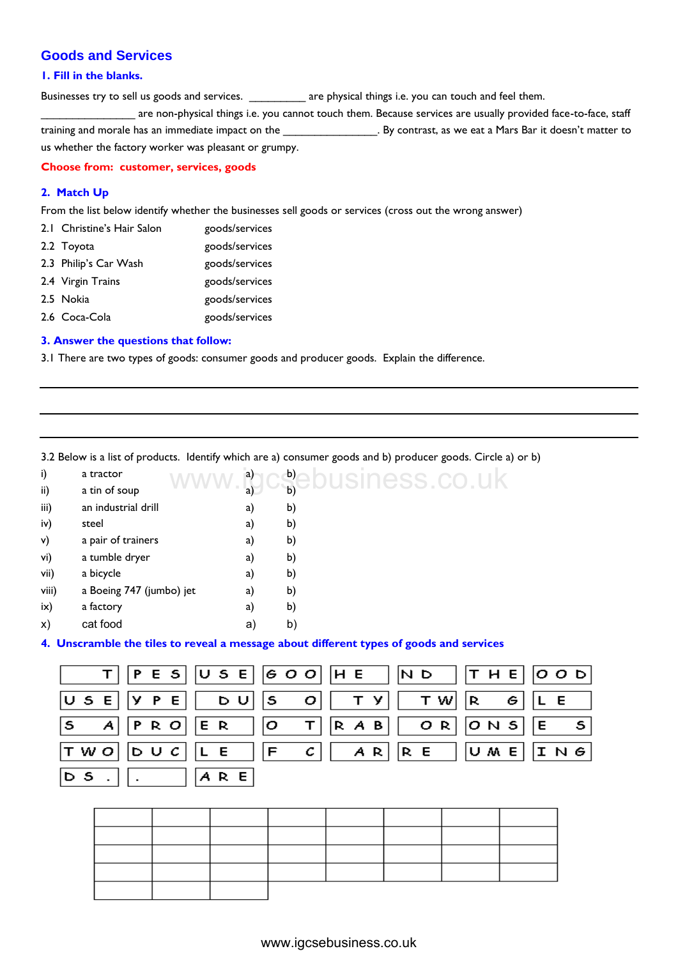# **Goods and Services**

### **1. Fill in the blanks.**

Businesses try to sell us goods and services. \_\_\_\_\_\_\_\_\_\_\_ are physical things i.e. you can touch and feel them.

accept are non-physical things i.e. you cannot touch them. Because services are usually provided face-to-face, staff training and morale has an immediate impact on the \_\_\_\_\_\_\_\_\_\_\_\_\_\_\_. By contrast, as we eat a Mars Bar it doesn't matter to us whether the factory worker was pleasant or grumpy.

# **Choose from: customer, services, goods**

## **2. Match Up**

From the list below identify whether the businesses sell goods or services (cross out the wrong answer)

| 2.1 Christine's Hair Salon | goods/services |
|----------------------------|----------------|
| 2.2 Toyota                 | goods/services |
| 2.3 Philip's Car Wash      | goods/services |
| 2.4 Virgin Trains          | goods/services |
| 2.5 Nokia                  | goods/services |
| 2.6 Coca-Cola              | goods/services |
|                            |                |

### **3. Answer the questions that follow:**

3.1 There are two types of goods: consumer goods and producer goods. Explain the difference.

3.2 Below is a list of products. Identify which are a) consumer goods and b) producer goods. Circle a) or b)

| i)    | a tractor                | a) | b) |
|-------|--------------------------|----|----|
| ii)   | a tin of soup            | a) | b) |
| iii)  | an industrial drill      | a) | b) |
| iv)   | steel                    | a) | b) |
| v)    | a pair of trainers       | a) | b) |
| vi)   | a tumble dryer           | a) | b) |
| vii)  | a bicycle                | a) | b) |
| viii) | a Boeing 747 (jumbo) jet | a) | b) |
| ix)   | a factory                | a) | b) |
| X)    | cat food                 | a) | b) |
|       |                          |    |    |

#### **4. Unscramble the tiles to reveal a message about different types of goods and services**

|   |       | a tractor<br>a tin of soup |   |    |                          |   |     | $\mathsf{a}$ |   | b)<br>b) |                         |   |                |     |   |    |     | pusiness.co.uk                                                                       |       |   |   |       |   |
|---|-------|----------------------------|---|----|--------------------------|---|-----|--------------|---|----------|-------------------------|---|----------------|-----|---|----|-----|--------------------------------------------------------------------------------------|-------|---|---|-------|---|
|   |       | an industrial drill        |   |    |                          |   |     | a)           |   |          |                         |   |                |     |   |    |     |                                                                                      |       |   |   |       |   |
|   | steel |                            |   |    |                          |   |     | a)           |   | b)       |                         |   |                |     |   |    |     |                                                                                      |       |   |   |       |   |
|   |       |                            |   |    |                          |   |     | a)           |   | b)       |                         |   |                |     |   |    |     |                                                                                      |       |   |   |       |   |
|   |       | a pair of trainers         |   |    |                          |   |     | a)           |   | b)       |                         |   |                |     |   |    |     |                                                                                      |       |   |   |       |   |
|   |       | a tumble dryer             |   |    |                          |   |     | a)           |   | b)       |                         |   |                |     |   |    |     |                                                                                      |       |   |   |       |   |
|   |       | a bicycle                  |   |    |                          |   |     | a)           |   | b)       |                         |   |                |     |   |    |     |                                                                                      |       |   |   |       |   |
|   |       |                            |   |    | a Boeing 747 (jumbo) jet |   |     | a)           |   | b)       |                         |   |                |     |   |    |     |                                                                                      |       |   |   |       |   |
|   |       | a factory                  |   |    |                          |   |     | a)           |   | b)       |                         |   |                |     |   |    |     |                                                                                      |       |   |   |       |   |
|   |       | cat food                   |   |    |                          |   |     | a)           |   | b)       |                         |   |                |     |   |    |     |                                                                                      |       |   |   |       |   |
|   |       |                            |   |    |                          |   |     |              |   |          |                         |   |                |     |   |    |     | Inscramble the tiles to reveal a message about different types of goods and services |       |   |   |       |   |
|   |       | т                          | P | Е  | S                        |   | U S | Е            |   |          | 600                     |   | H <sub>E</sub> |     |   | ND |     | т                                                                                    | H E   |   |   | 0 O D |   |
|   | U S   | E                          | У | P  | E                        |   | D   | U            | S |          | ο                       |   | т              | У   |   |    | T W | R                                                                                    |       | G | Г | E     |   |
| S |       | Α                          | P |    | R O                      | Е | - R |              | о |          | т                       | R |                | A B |   |    | OR. |                                                                                      | O N   | S | E |       | s |
|   | T W O |                            |   | DU | с                        | L | E   |              | F |          | С                       |   |                | A R | R | E  |     |                                                                                      | U M E |   |   | ING   |   |
|   |       |                            |   |    |                          |   |     |              |   |          |                         |   |                |     |   |    |     |                                                                                      |       |   |   |       |   |
|   | D S   |                            |   |    |                          |   | ARE |              |   |          |                         |   |                |     |   |    |     |                                                                                      |       |   |   |       |   |
|   |       |                            |   |    |                          |   |     |              |   |          |                         |   |                |     |   |    |     |                                                                                      |       |   |   |       |   |
|   |       |                            |   |    |                          |   |     |              |   |          |                         |   |                |     |   |    |     |                                                                                      |       |   |   |       |   |
|   |       |                            |   |    |                          |   |     |              |   |          |                         |   |                |     |   |    |     |                                                                                      |       |   |   |       |   |
|   |       |                            |   |    |                          |   |     |              |   |          |                         |   |                |     |   |    |     |                                                                                      |       |   |   |       |   |
|   |       |                            |   |    |                          |   |     |              |   |          |                         |   |                |     |   |    |     |                                                                                      |       |   |   |       |   |
|   |       |                            |   |    |                          |   |     |              |   |          |                         |   |                |     |   |    |     |                                                                                      |       |   |   |       |   |
|   |       |                            |   |    |                          |   |     |              |   |          |                         |   |                |     |   |    |     |                                                                                      |       |   |   |       |   |
|   |       |                            |   |    |                          |   |     |              |   |          |                         |   |                |     |   |    |     |                                                                                      |       |   |   |       |   |
|   |       |                            |   |    |                          |   |     |              |   |          |                         |   |                |     |   |    |     |                                                                                      |       |   |   |       |   |
|   |       |                            |   |    |                          |   |     |              |   |          | www.igcsebusiness.co.uk |   |                |     |   |    |     |                                                                                      |       |   |   |       |   |